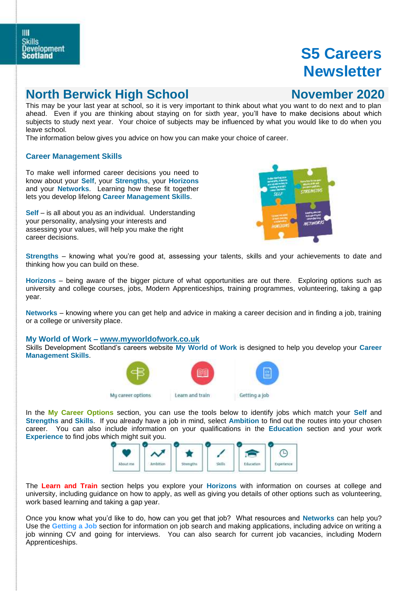## **North Berwick High School November 2020**

This may be your last year at school, so it is very important to think about what you want to do next and to plan ahead. Even if you are thinking about staying on for sixth year, you'll have to make decisions about which subjects to study next year. Your choice of subjects may be influenced by what you would like to do when you leave school.

The information below gives you advice on how you can make your choice of career.

### **Career Management Skills**

To make well informed career decisions you need to know about your **Self**, your **Strengths**, your **Horizons** and your **Networks**. Learning how these fit together lets you develop lifelong **Career Management Skills**.

**Self** – is all about you as an individual. Understanding your personality, analysing your interests and assessing your values, will help you make the right career decisions.



**Strengths** – knowing what you're good at, assessing your talents, skills and your achievements to date and thinking how you can build on these.

**Horizons** – being aware of the bigger picture of what opportunities are out there. Exploring options such as university and college courses, jobs, Modern Apprenticeships, training programmes, volunteering, taking a gap year.

**Networks** – knowing where you can get help and advice in making a career decision and in finding a job, training or a college or university place.

**My World of Work – [www.myworldofwork.co.uk](http://www.myworldofwork.co.uk/)**

Skills Development Scotland's careers website **My World of Work** is designed to help you develop your **Career Management Skills**.



In the **My Career Options** section, you can use the tools below to identify jobs which match your **Self** and **Strengths** and **Skills**. If you already have a job in mind, select **Ambition** to find out the routes into your chosen career. You can also include information on your qualifications in the **Education** section and your work **Experience** to find jobs which might suit you.



The **Learn and Train** section helps you explore your **Horizons** with information on courses at college and university, including guidance on how to apply, as well as giving you details of other options such as volunteering, work based learning and taking a gap year.

Once you know what you'd like to do, how can you get that job? What resources and **Networks** can help you? Use the **Getting a Job** section for information on job search and making applications, including advice on writing a job winning CV and going for interviews. You can also search for current job vacancies, including Modern Apprenticeships.

#### Ш **Skills Development** Scotland

# **S5 Careers Newsletter**